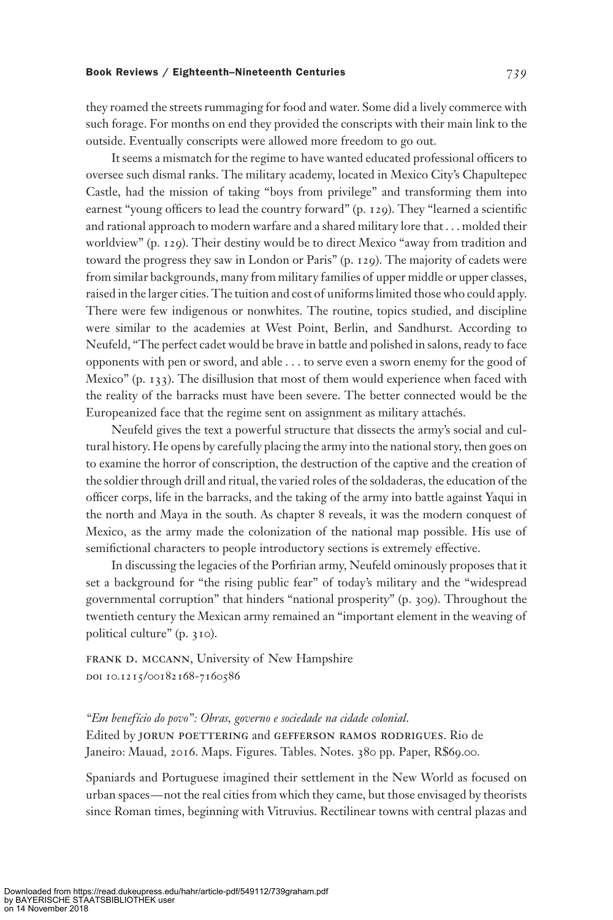## Book Reviews / Eighteenth–Nineteenth Centuries  $739$

they roamed the streets rummaging for food and water. Some did a lively commerce with such forage. For months on end they provided the conscripts with their main link to the outside. Eventually conscripts were allowed more freedom to go out.

It seems a mismatch for the regime to have wanted educated professional officers to oversee such dismal ranks. The military academy, located in Mexico City's Chapultepec Castle, had the mission of taking "boys from privilege" and transforming them into earnest "young officers to lead the country forward" (p. 129). They "learned a scientific and rational approach to modern warfare and a shared military lore that . . . molded their worldview" (p. 129). Their destiny would be to direct Mexico "away from tradition and toward the progress they saw in London or Paris" (p. 129). The majority of cadets were from similar backgrounds, many from military families of upper middle or upper classes, raised in the larger cities. The tuition and cost of uniforms limited those who could apply. There were few indigenous or nonwhites. The routine, topics studied, and discipline were similar to the academies at West Point, Berlin, and Sandhurst. According to Neufeld, "The perfect cadet would be brave in battle and polished in salons, ready to face opponents with pen or sword, and able . . . to serve even a sworn enemy for the good of Mexico" (p. 133). The disillusion that most of them would experience when faced with the reality of the barracks must have been severe. The better connected would be the Europeanized face that the regime sent on assignment as military attachés.

Neufeld gives the text a powerful structure that dissects the army's social and cultural history. He opens by carefully placing the army into the national story, then goes on to examine the horror of conscription, the destruction of the captive and the creation of the soldier through drill and ritual, the varied roles of the soldaderas, the education of the officer corps, life in the barracks, and the taking of the army into battle against Yaqui in the north and Maya in the south. As chapter 8 reveals, it was the modern conquest of Mexico, as the army made the colonization of the national map possible. His use of semifictional characters to people introductory sections is extremely effective.

In discussing the legacies of the Porfirian army, Neufeld ominously proposes that it set a background for "the rising public fear" of today's military and the "widespread governmental corruption" that hinders "national prosperity" (p. 309). Throughout the twentieth century the Mexican army remained an "important element in the weaving of political culture" (p. 310).

FRANK D. MCCANN, University of New Hampshire DOI 10.1215/00182168-7160586

"Em benefício do povo": Obras, governo e sociedade na cidade colonial. Edited by jorun poettering and gefferson ramos rodrigues. Rio de Janeiro: Mauad, 2016. Maps. Figures. Tables. Notes. 380 pp. Paper, R\$69.00.

Spaniards and Portuguese imagined their settlement in the New World as focused on urban spaces—not the real cities from which they came, but those envisaged by theorists since Roman times, beginning with Vitruvius. Rectilinear towns with central plazas and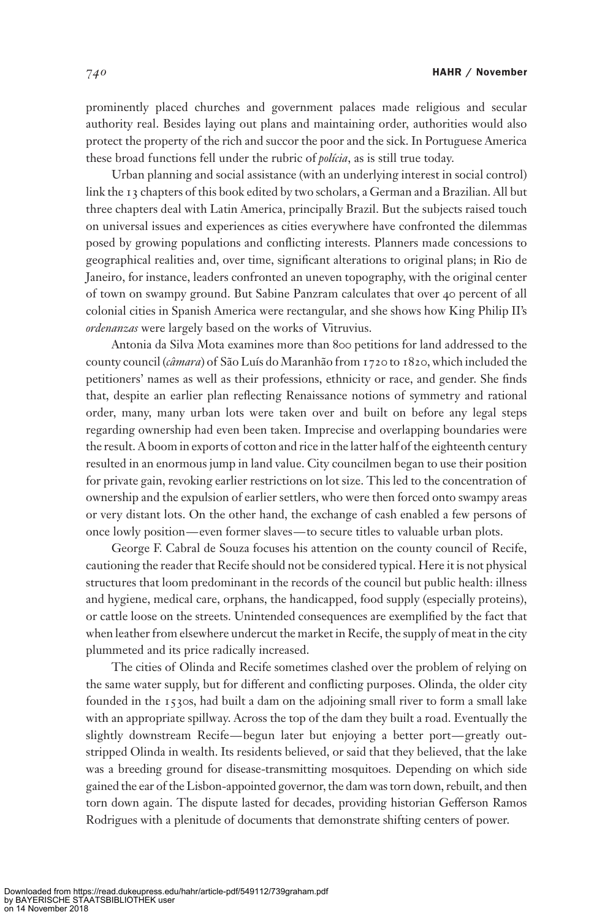prominently placed churches and government palaces made religious and secular authority real. Besides laying out plans and maintaining order, authorities would also protect the property of the rich and succor the poor and the sick. In Portuguese America these broad functions fell under the rubric of polícia, as is still true today.

Urban planning and social assistance (with an underlying interest in social control) link the 13 chapters of this book edited by two scholars, a German and a Brazilian. All but three chapters deal with Latin America, principally Brazil. But the subjects raised touch on universal issues and experiences as cities everywhere have confronted the dilemmas posed by growing populations and conflicting interests. Planners made concessions to geographical realities and, over time, significant alterations to original plans; in Rio de Janeiro, for instance, leaders confronted an uneven topography, with the original center of town on swampy ground. But Sabine Panzram calculates that over 40 percent of all colonial cities in Spanish America were rectangular, and she shows how King Philip II's ordenanzas were largely based on the works of Vitruvius.

Antonia da Silva Mota examines more than 800 petitions for land addressed to the county council (câmara) of São Luís do Maranhão from 1720 to 1820, which included the petitioners' names as well as their professions, ethnicity or race, and gender. She finds that, despite an earlier plan reflecting Renaissance notions of symmetry and rational order, many, many urban lots were taken over and built on before any legal steps regarding ownership had even been taken. Imprecise and overlapping boundaries were the result. A boom in exports of cotton and rice in the latter half of the eighteenth century resulted in an enormous jump in land value. City councilmen began to use their position for private gain, revoking earlier restrictions on lot size. This led to the concentration of ownership and the expulsion of earlier settlers, who were then forced onto swampy areas or very distant lots. On the other hand, the exchange of cash enabled a few persons of once lowly position—even former slaves—to secure titles to valuable urban plots.

George F. Cabral de Souza focuses his attention on the county council of Recife, cautioning the reader that Recife should not be considered typical. Here it is not physical structures that loom predominant in the records of the council but public health: illness and hygiene, medical care, orphans, the handicapped, food supply (especially proteins), or cattle loose on the streets. Unintended consequences are exemplified by the fact that when leather from elsewhere undercut the market in Recife, the supply of meat in the city plummeted and its price radically increased.

The cities of Olinda and Recife sometimes clashed over the problem of relying on the same water supply, but for different and conflicting purposes. Olinda, the older city founded in the 1530s, had built a dam on the adjoining small river to form a small lake with an appropriate spillway. Across the top of the dam they built a road. Eventually the slightly downstream Recife—begun later but enjoying a better port—greatly outstripped Olinda in wealth. Its residents believed, or said that they believed, that the lake was a breeding ground for disease-transmitting mosquitoes. Depending on which side gained the ear of the Lisbon-appointed governor, the dam was torn down, rebuilt, and then torn down again. The dispute lasted for decades, providing historian Gefferson Ramos Rodrigues with a plenitude of documents that demonstrate shifting centers of power.